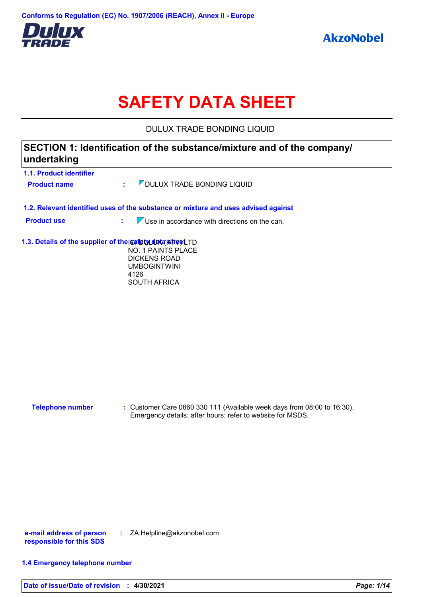

# **SAFETY DATA SHEET**

DULUX TRADE BONDING LIQUID

| 1.1. Product identifier |                                                                                                                                                             |
|-------------------------|-------------------------------------------------------------------------------------------------------------------------------------------------------------|
|                         |                                                                                                                                                             |
| <b>Product name</b>     | OULUX TRADE BONDING LIQUID<br>÷.                                                                                                                            |
|                         | 1.2. Relevant identified uses of the substance or mixture and uses advised against                                                                          |
| <b>Product use</b>      | $\nabla$ Use in accordance with directions on the can.<br>t.                                                                                                |
|                         | 1.3. Details of the supplier of the safety duta Bhyet TD<br>NO. 1 PAINTS PLACE<br><b>DICKENS ROAD</b><br><b>UMBOGINTWINI</b><br>4126<br><b>SOUTH AFRICA</b> |
|                         |                                                                                                                                                             |
|                         |                                                                                                                                                             |
|                         |                                                                                                                                                             |
|                         |                                                                                                                                                             |
|                         |                                                                                                                                                             |
|                         |                                                                                                                                                             |
| <b>Telephone number</b> | : Customer Care 0860 330 111 (Available week days from 08:00 to 16:30).<br>Emergency details: after hours: refer to website for MSDS.                       |
|                         |                                                                                                                                                             |
|                         |                                                                                                                                                             |
|                         |                                                                                                                                                             |
|                         |                                                                                                                                                             |

**e-mail address of person responsible for this SDS :** ZA.Helpline@akzonobel.com

#### **1.4 Emergency telephone number**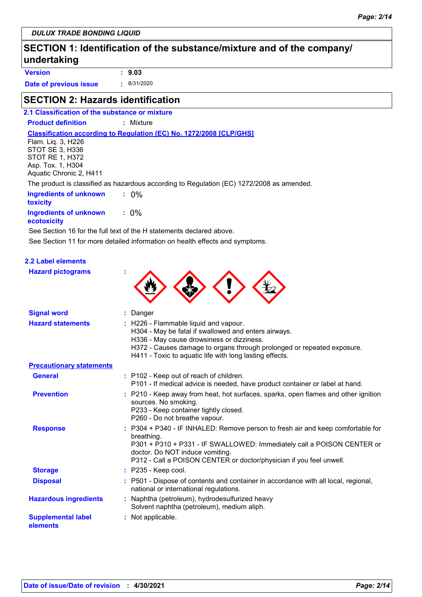### **SECTION 1: Identification of the substance/mixture and of the company/ undertaking**

**Version : 9.03**

**Date of previous issue :** 8/31/2020

### **SECTION 2: Hazards identification**

#### **2.1 Classification of the substance or mixture**

**Product definition :** Mixture

**Classification according to Regulation (EC) No. 1272/2008 [CLP/GHS]**

Flam. Liq. 3, H226 STOT SE 3, H336 STOT RE 1, H372 Asp. Tox. 1, H304 Aquatic Chronic 2, H411

The product is classified as hazardous according to Regulation (EC) 1272/2008 as amended.

| Ingredients of unknown<br>toxicity           | $: 0\%$ |
|----------------------------------------------|---------|
| <b>Ingredients of unknown</b><br>ecotoxicity | $: 0\%$ |

See Section 11 for more detailed information on health effects and symptoms. See Section 16 for the full text of the H statements declared above.

#### **2.2 Label elements**

| <b>Hazard pictograms</b> |  |
|--------------------------|--|
|                          |  |



| <b>Signal word</b>                    | : Danger                                                                                                                                                                                                                                                                          |
|---------------------------------------|-----------------------------------------------------------------------------------------------------------------------------------------------------------------------------------------------------------------------------------------------------------------------------------|
| <b>Hazard statements</b>              | : H226 - Flammable liquid and vapour.<br>H304 - May be fatal if swallowed and enters airways.<br>H336 - May cause drowsiness or dizziness.<br>H372 - Causes damage to organs through prolonged or repeated exposure.<br>H411 - Toxic to aquatic life with long lasting effects.   |
| <b>Precautionary statements</b>       |                                                                                                                                                                                                                                                                                   |
| <b>General</b>                        | : P102 - Keep out of reach of children.<br>P101 - If medical advice is needed, have product container or label at hand.                                                                                                                                                           |
| <b>Prevention</b>                     | : P210 - Keep away from heat, hot surfaces, sparks, open flames and other ignition<br>sources. No smoking.<br>P233 - Keep container tightly closed.<br>P260 - Do not breathe vapour.                                                                                              |
| <b>Response</b>                       | : P304 + P340 - IF INHALED: Remove person to fresh air and keep comfortable for<br>breathing.<br>P301 + P310 + P331 - IF SWALLOWED: Immediately call a POISON CENTER or<br>doctor. Do NOT induce vomiting.<br>P312 - Call a POISON CENTER or doctor/physician if you feel unwell. |
| <b>Storage</b>                        | $:$ P235 - Keep cool.                                                                                                                                                                                                                                                             |
| <b>Disposal</b>                       | : P501 - Dispose of contents and container in accordance with all local, regional,<br>national or international regulations.                                                                                                                                                      |
| <b>Hazardous ingredients</b>          | : Naphtha (petroleum), hydrodesulfurized heavy<br>Solvent naphtha (petroleum), medium aliph.                                                                                                                                                                                      |
| <b>Supplemental label</b><br>elements | : Not applicable.                                                                                                                                                                                                                                                                 |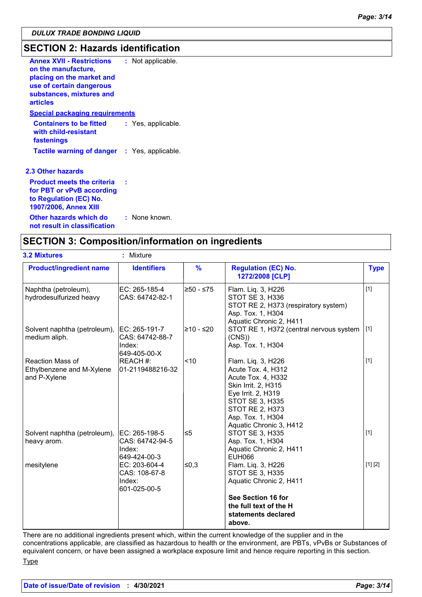### **SECTION 2: Hazards identification**

| <b>Annex XVII - Restrictions</b><br>on the manufacture,<br>placing on the market and<br>use of certain dangerous<br>substances, mixtures and<br><b>articles</b> | : Not applicable.  |
|-----------------------------------------------------------------------------------------------------------------------------------------------------------------|--------------------|
| <b>Special packaging requirements</b>                                                                                                                           |                    |
| <b>Containers to be fitted</b><br>with child-resistant<br>fastenings                                                                                            | : Yes, applicable. |
| <b>Tactile warning of danger</b> : Yes, applicable.                                                                                                             |                    |
| <b>2.3 Other hazards</b>                                                                                                                                        |                    |
| <b>Product meets the criteria</b><br>for PBT or vPvB according<br>to Regulation (EC) No.<br><b>1907/2006, Annex XIII</b>                                        |                    |
| Other hazards which do<br>医心包膜炎 医心包 医心脏病 医心包 医心包 医心包 医单叶 医心包的                                                                                                   | : None known.      |

#### **not result in classification**

### **SECTION 3: Composition/information on ingredients**

| <b>3.2 Mixtures</b>                                                  | ×.<br>Mixture                                              |               |                                                                                                                                                                                                                 |             |
|----------------------------------------------------------------------|------------------------------------------------------------|---------------|-----------------------------------------------------------------------------------------------------------------------------------------------------------------------------------------------------------------|-------------|
| <b>Product/ingredient name</b>                                       | <b>Identifiers</b>                                         | $\frac{9}{6}$ | <b>Regulation (EC) No.</b><br>1272/2008 [CLP]                                                                                                                                                                   | <b>Type</b> |
| Naphtha (petroleum),<br>hydrodesulfurized heavy                      | EC: 265-185-4<br>CAS: 64742-82-1                           | 250 - ≤75     | Flam. Liq. 3, H226<br><b>STOT SE 3, H336</b><br>STOT RE 2, H373 (respiratory system)<br>Asp. Tox. 1, H304<br>Aquatic Chronic 2, H411                                                                            | $[1]$       |
| Solvent naphtha (petroleum),<br>medium aliph.                        | EC: 265-191-7<br>CAS: 64742-88-7<br>Index:<br>649-405-00-X | l≥10 - ≤20    | STOT RE 1, H372 (central nervous system<br>(CNS)<br>Asp. Tox. 1, H304                                                                                                                                           | [1]         |
| <b>Reaction Mass of</b><br>Ethylbenzene and M-Xylene<br>and P-Xylene | REACH #:<br>01-2119488216-32                               | $\approx$ 10  | Flam. Liq. 3, H226<br>Acute Tox. 4, H312<br>Acute Tox. 4, H332<br>Skin Irrit. 2, H315<br>Eye Irrit. 2, H319<br><b>STOT SE 3, H335</b><br><b>STOT RE 2, H373</b><br>Asp. Tox. 1, H304<br>Aquatic Chronic 3, H412 | $[1]$       |
| Solvent naphtha (petroleum),<br>heavy arom.                          | EC: 265-198-5<br>CAS: 64742-94-5<br>Index:<br>649-424-00-3 | ∣≤5           | STOT SE 3, H335<br>Asp. Tox. 1, H304<br>Aquatic Chronic 2, H411<br><b>EUH066</b>                                                                                                                                | $[1]$       |
| mesitylene                                                           | EC: 203-604-4<br>CAS: 108-67-8<br>Index:<br>601-025-00-5   | ∣≤0,3         | Flam. Liq. 3, H226<br><b>STOT SE 3, H335</b><br>Aquatic Chronic 2, H411<br>See Section 16 for<br>the full text of the H<br>statements declared<br>above.                                                        | [1] [2]     |

There are no additional ingredients present which, within the current knowledge of the supplier and in the concentrations applicable, are classified as hazardous to health or the environment, are PBTs, vPvBs or Substances of equivalent concern, or have been assigned a workplace exposure limit and hence require reporting in this section. **Type**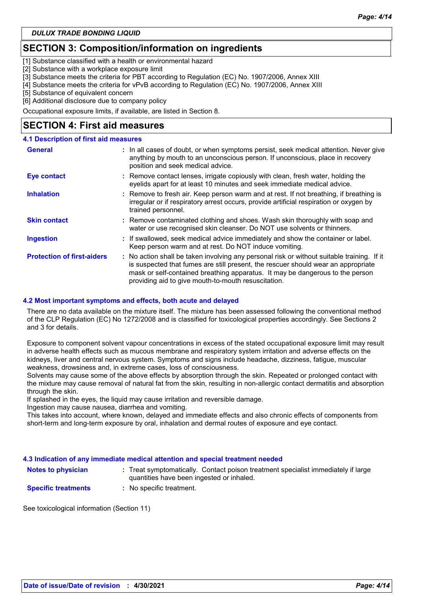### **SECTION 3: Composition/information on ingredients**

[1] Substance classified with a health or environmental hazard

[2] Substance with a workplace exposure limit

[3] Substance meets the criteria for PBT according to Regulation (EC) No. 1907/2006, Annex XIII

[4] Substance meets the criteria for vPvB according to Regulation (EC) No. 1907/2006, Annex XIII

[5] Substance of equivalent concern

[6] Additional disclosure due to company policy

Occupational exposure limits, if available, are listed in Section 8.

### **SECTION 4: First aid measures**

#### **4.1 Description of first aid measures**

| <b>General</b>                    | : In all cases of doubt, or when symptoms persist, seek medical attention. Never give<br>anything by mouth to an unconscious person. If unconscious, place in recovery<br>position and seek medical advice.                                                                                                             |
|-----------------------------------|-------------------------------------------------------------------------------------------------------------------------------------------------------------------------------------------------------------------------------------------------------------------------------------------------------------------------|
| <b>Eye contact</b>                | : Remove contact lenses, irrigate copiously with clean, fresh water, holding the<br>eyelids apart for at least 10 minutes and seek immediate medical advice.                                                                                                                                                            |
| <b>Inhalation</b>                 | : Remove to fresh air. Keep person warm and at rest. If not breathing, if breathing is<br>irregular or if respiratory arrest occurs, provide artificial respiration or oxygen by<br>trained personnel.                                                                                                                  |
| <b>Skin contact</b>               | : Remove contaminated clothing and shoes. Wash skin thoroughly with soap and<br>water or use recognised skin cleanser. Do NOT use solvents or thinners.                                                                                                                                                                 |
| <b>Ingestion</b>                  | : If swallowed, seek medical advice immediately and show the container or label.<br>Keep person warm and at rest. Do NOT induce vomiting.                                                                                                                                                                               |
| <b>Protection of first-aiders</b> | : No action shall be taken involving any personal risk or without suitable training. If it<br>is suspected that fumes are still present, the rescuer should wear an appropriate<br>mask or self-contained breathing apparatus. It may be dangerous to the person<br>providing aid to give mouth-to-mouth resuscitation. |

#### **4.2 Most important symptoms and effects, both acute and delayed**

There are no data available on the mixture itself. The mixture has been assessed following the conventional method of the CLP Regulation (EC) No 1272/2008 and is classified for toxicological properties accordingly. See Sections 2 and 3 for details.

Exposure to component solvent vapour concentrations in excess of the stated occupational exposure limit may result in adverse health effects such as mucous membrane and respiratory system irritation and adverse effects on the kidneys, liver and central nervous system. Symptoms and signs include headache, dizziness, fatigue, muscular weakness, drowsiness and, in extreme cases, loss of consciousness.

Solvents may cause some of the above effects by absorption through the skin. Repeated or prolonged contact with the mixture may cause removal of natural fat from the skin, resulting in non-allergic contact dermatitis and absorption through the skin.

If splashed in the eyes, the liquid may cause irritation and reversible damage.

Ingestion may cause nausea, diarrhea and vomiting.

This takes into account, where known, delayed and immediate effects and also chronic effects of components from short-term and long-term exposure by oral, inhalation and dermal routes of exposure and eye contact.

|                            | 4.3 Indication of any immediate medical attention and special treatment needed                                                 |
|----------------------------|--------------------------------------------------------------------------------------------------------------------------------|
| <b>Notes to physician</b>  | : Treat symptomatically. Contact poison treatment specialist immediately if large<br>quantities have been ingested or inhaled. |
| <b>Specific treatments</b> | : No specific treatment.                                                                                                       |
|                            |                                                                                                                                |

See toxicological information (Section 11)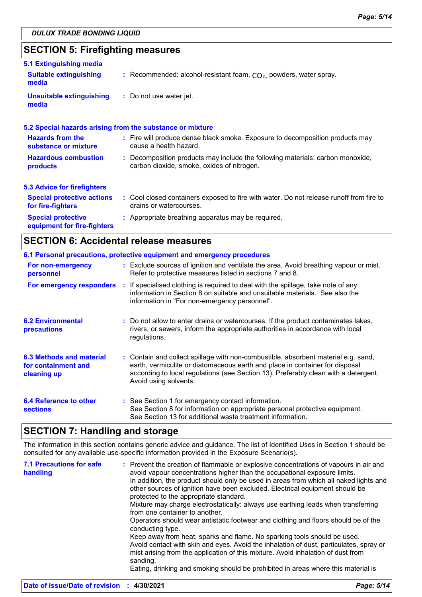## **SECTION 5: Firefighting measures**

| 5.1 Extinguishing media                                  |                                                                                                                              |  |  |
|----------------------------------------------------------|------------------------------------------------------------------------------------------------------------------------------|--|--|
| <b>Suitable extinguishing</b><br>media                   | : Recommended: alcohol-resistant foam, $CO2$ , powders, water spray.                                                         |  |  |
| Unsuitable extinguishing<br>media                        | : Do not use water jet.                                                                                                      |  |  |
|                                                          | 5.2 Special hazards arising from the substance or mixture                                                                    |  |  |
| <b>Hazards from the</b><br>substance or mixture          | : Fire will produce dense black smoke. Exposure to decomposition products may<br>cause a health hazard.                      |  |  |
| <b>Hazardous combustion</b><br>products                  | : Decomposition products may include the following materials: carbon monoxide,<br>carbon dioxide, smoke, oxides of nitrogen. |  |  |
| <b>5.3 Advice for firefighters</b>                       |                                                                                                                              |  |  |
| <b>Special protective actions</b><br>for fire-fighters   | : Cool closed containers exposed to fire with water. Do not release runoff from fire to<br>drains or watercourses.           |  |  |
| <b>Special protective</b><br>equipment for fire-fighters | : Appropriate breathing apparatus may be required.                                                                           |  |  |
|                                                          |                                                                                                                              |  |  |

### **SECTION 6: Accidental release measures**

|                                                                | 6.1 Personal precautions, protective equipment and emergency procedures                                                                                                                                                                                                            |
|----------------------------------------------------------------|------------------------------------------------------------------------------------------------------------------------------------------------------------------------------------------------------------------------------------------------------------------------------------|
| For non-emergency<br>personnel                                 | : Exclude sources of ignition and ventilate the area. Avoid breathing vapour or mist.<br>Refer to protective measures listed in sections 7 and 8.                                                                                                                                  |
| For emergency responders                                       | : If specialised clothing is required to deal with the spillage, take note of any<br>information in Section 8 on suitable and unsuitable materials. See also the<br>information in "For non-emergency personnel".                                                                  |
| <b>6.2 Environmental</b><br>precautions                        | : Do not allow to enter drains or watercourses. If the product contaminates lakes,<br>rivers, or sewers, inform the appropriate authorities in accordance with local<br>regulations.                                                                                               |
| 6.3 Methods and material<br>for containment and<br>cleaning up | : Contain and collect spillage with non-combustible, absorbent material e.g. sand,<br>earth, vermiculite or diatomaceous earth and place in container for disposal<br>according to local regulations (see Section 13). Preferably clean with a detergent.<br>Avoid using solvents. |
| 6.4 Reference to other<br><b>sections</b>                      | : See Section 1 for emergency contact information.<br>See Section 8 for information on appropriate personal protective equipment.<br>See Section 13 for additional waste treatment information.                                                                                    |

### **SECTION 7: Handling and storage**

The information in this section contains generic advice and guidance. The list of Identified Uses in Section 1 should be consulted for any available use-specific information provided in the Exposure Scenario(s).

| <b>7.1 Precautions for safe</b><br>handling | : Prevent the creation of flammable or explosive concentrations of vapours in air and<br>avoid vapour concentrations higher than the occupational exposure limits.<br>In addition, the product should only be used in areas from which all naked lights and<br>other sources of ignition have been excluded. Electrical equipment should be<br>protected to the appropriate standard. |
|---------------------------------------------|---------------------------------------------------------------------------------------------------------------------------------------------------------------------------------------------------------------------------------------------------------------------------------------------------------------------------------------------------------------------------------------|
|                                             | Mixture may charge electrostatically: always use earthing leads when transferring<br>from one container to another.<br>Operators should wear antistatic footwear and clothing and floors should be of the<br>conducting type.                                                                                                                                                         |
|                                             | Keep away from heat, sparks and flame. No sparking tools should be used.<br>Avoid contact with skin and eyes. Avoid the inhalation of dust, particulates, spray or<br>mist arising from the application of this mixture. Avoid inhalation of dust from<br>sanding.                                                                                                                    |
|                                             | Eating, drinking and smoking should be prohibited in areas where this material is                                                                                                                                                                                                                                                                                                     |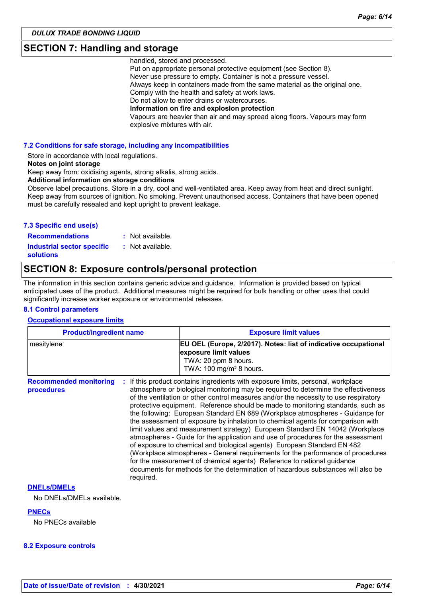### **SECTION 7: Handling and storage**

handled, stored and processed.

Put on appropriate personal protective equipment (see Section 8). Never use pressure to empty. Container is not a pressure vessel. Always keep in containers made from the same material as the original one. Comply with the health and safety at work laws. Do not allow to enter drains or watercourses. **Information on fire and explosion protection** Vapours are heavier than air and may spread along floors. Vapours may form explosive mixtures with air.

#### **7.2 Conditions for safe storage, including any incompatibilities**

Store in accordance with local regulations.

#### **Notes on joint storage**

Keep away from: oxidising agents, strong alkalis, strong acids.

**Additional information on storage conditions**

Observe label precautions. Store in a dry, cool and well-ventilated area. Keep away from heat and direct sunlight. Keep away from sources of ignition. No smoking. Prevent unauthorised access. Containers that have been opened must be carefully resealed and kept upright to prevent leakage.

#### **7.3 Specific end use(s)**

**Recommendations : Industrial sector specific : solutions**

: Not available.

: Not available.

### **SECTION 8: Exposure controls/personal protection**

The information in this section contains generic advice and guidance. Information is provided based on typical anticipated uses of the product. Additional measures might be required for bulk handling or other uses that could significantly increase worker exposure or environmental releases.

#### **8.1 Control parameters**

#### **Occupational exposure limits**

| <b>Product/ingredient name</b>              |           | <b>Exposure limit values</b>                                                                                                                                                                                                                                                                                                                                                                                                                                                                                                                                                                                                                                                                                                                                                                                                                                                                                                                                                                                        |  |
|---------------------------------------------|-----------|---------------------------------------------------------------------------------------------------------------------------------------------------------------------------------------------------------------------------------------------------------------------------------------------------------------------------------------------------------------------------------------------------------------------------------------------------------------------------------------------------------------------------------------------------------------------------------------------------------------------------------------------------------------------------------------------------------------------------------------------------------------------------------------------------------------------------------------------------------------------------------------------------------------------------------------------------------------------------------------------------------------------|--|
| mesitylene                                  |           | EU OEL (Europe, 2/2017). Notes: list of indicative occupational<br>exposure limit values<br>TWA: 20 ppm 8 hours.<br>TWA: 100 mg/m <sup>3</sup> 8 hours.                                                                                                                                                                                                                                                                                                                                                                                                                                                                                                                                                                                                                                                                                                                                                                                                                                                             |  |
| <b>Recommended monitoring</b><br>procedures | required. | If this product contains ingredients with exposure limits, personal, workplace<br>atmosphere or biological monitoring may be required to determine the effectiveness<br>of the ventilation or other control measures and/or the necessity to use respiratory<br>protective equipment. Reference should be made to monitoring standards, such as<br>the following: European Standard EN 689 (Workplace atmospheres - Guidance for<br>the assessment of exposure by inhalation to chemical agents for comparison with<br>limit values and measurement strategy) European Standard EN 14042 (Workplace<br>atmospheres - Guide for the application and use of procedures for the assessment<br>of exposure to chemical and biological agents) European Standard EN 482<br>(Workplace atmospheres - General requirements for the performance of procedures<br>for the measurement of chemical agents) Reference to national guidance<br>documents for methods for the determination of hazardous substances will also be |  |

#### **DNELs/DMELs**

No DNELs/DMELs available.

#### **PNECs**

No PNECs available

#### **8.2 Exposure controls**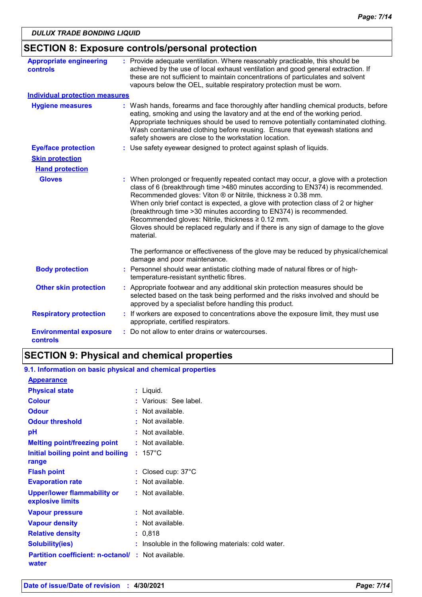|                                                  | <b>SECTION 8: Exposure controls/personal protection</b>                                                                                                                                                                                                                                                                                                                                                                                                                                                                                                     |
|--------------------------------------------------|-------------------------------------------------------------------------------------------------------------------------------------------------------------------------------------------------------------------------------------------------------------------------------------------------------------------------------------------------------------------------------------------------------------------------------------------------------------------------------------------------------------------------------------------------------------|
| <b>Appropriate engineering</b><br>controls       | : Provide adequate ventilation. Where reasonably practicable, this should be<br>achieved by the use of local exhaust ventilation and good general extraction. If<br>these are not sufficient to maintain concentrations of particulates and solvent<br>vapours below the OEL, suitable respiratory protection must be worn.                                                                                                                                                                                                                                 |
| <b>Individual protection measures</b>            |                                                                                                                                                                                                                                                                                                                                                                                                                                                                                                                                                             |
| <b>Hygiene measures</b>                          | : Wash hands, forearms and face thoroughly after handling chemical products, before<br>eating, smoking and using the lavatory and at the end of the working period.<br>Appropriate techniques should be used to remove potentially contaminated clothing.<br>Wash contaminated clothing before reusing. Ensure that eyewash stations and<br>safety showers are close to the workstation location.                                                                                                                                                           |
| <b>Eye/face protection</b>                       | : Use safety eyewear designed to protect against splash of liquids.                                                                                                                                                                                                                                                                                                                                                                                                                                                                                         |
| <b>Skin protection</b>                           |                                                                                                                                                                                                                                                                                                                                                                                                                                                                                                                                                             |
| <b>Hand protection</b>                           |                                                                                                                                                                                                                                                                                                                                                                                                                                                                                                                                                             |
| <b>Gloves</b>                                    | : When prolonged or frequently repeated contact may occur, a glove with a protection<br>class of 6 (breakthrough time >480 minutes according to EN374) is recommended.<br>Recommended gloves: Viton ® or Nitrile, thickness ≥ 0.38 mm.<br>When only brief contact is expected, a glove with protection class of 2 or higher<br>(breakthrough time > 30 minutes according to EN374) is recommended.<br>Recommended gloves: Nitrile, thickness ≥ 0.12 mm.<br>Gloves should be replaced regularly and if there is any sign of damage to the glove<br>material. |
|                                                  | The performance or effectiveness of the glove may be reduced by physical/chemical<br>damage and poor maintenance.                                                                                                                                                                                                                                                                                                                                                                                                                                           |
| <b>Body protection</b>                           | : Personnel should wear antistatic clothing made of natural fibres or of high-<br>temperature-resistant synthetic fibres.                                                                                                                                                                                                                                                                                                                                                                                                                                   |
| <b>Other skin protection</b>                     | : Appropriate footwear and any additional skin protection measures should be<br>selected based on the task being performed and the risks involved and should be<br>approved by a specialist before handling this product.                                                                                                                                                                                                                                                                                                                                   |
| <b>Respiratory protection</b>                    | : If workers are exposed to concentrations above the exposure limit, they must use<br>appropriate, certified respirators.                                                                                                                                                                                                                                                                                                                                                                                                                                   |
| <b>Environmental exposure</b><br><b>controls</b> | : Do not allow to enter drains or watercourses.                                                                                                                                                                                                                                                                                                                                                                                                                                                                                                             |

# **SECTION 9: Physical and chemical properties**

| 9.1. Information on basic physical and chemical properties |                                                     |
|------------------------------------------------------------|-----------------------------------------------------|
| <b>Appearance</b>                                          |                                                     |
| <b>Physical state</b>                                      | : Liquid.                                           |
| <b>Colour</b>                                              | : Various: See label.                               |
| <b>Odour</b>                                               | $:$ Not available.                                  |
| <b>Odour threshold</b>                                     | : Not available.                                    |
| рH                                                         | $:$ Not available.                                  |
| <b>Melting point/freezing point</b>                        | : Not available.                                    |
| Initial boiling point and boiling<br>range                 | $: 157^{\circ}$ C                                   |
| <b>Flash point</b>                                         | : Closed cup: 37°C                                  |
| <b>Evaporation rate</b>                                    | : Not available.                                    |
| <b>Upper/lower flammability or</b><br>explosive limits     | : Not available.                                    |
| <b>Vapour pressure</b>                                     | $:$ Not available.                                  |
| <b>Vapour density</b>                                      | : Not available.                                    |
| <b>Relative density</b>                                    | : 0,818                                             |
| <b>Solubility(ies)</b>                                     | : Insoluble in the following materials: cold water. |
| <b>Partition coefficient: n-octanol/</b><br>water          | $\therefore$ Not available.                         |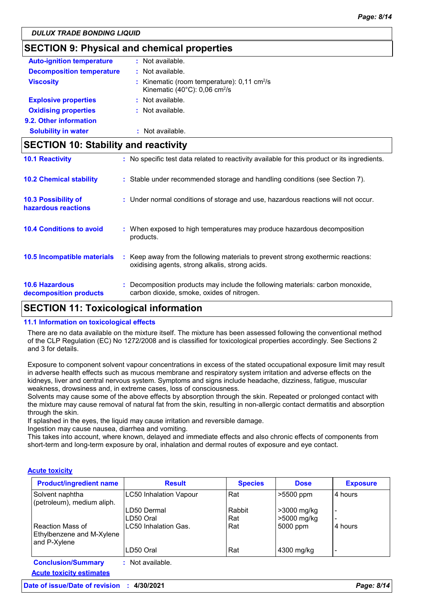### **SECTION 9: Physical and chemical properties**

| <b>Auto-ignition temperature</b> | : Not available.                                                                                                  |
|----------------------------------|-------------------------------------------------------------------------------------------------------------------|
| <b>Decomposition temperature</b> | : Not available.                                                                                                  |
| <b>Viscosity</b>                 | : Kinematic (room temperature): $0,11$ cm <sup>2</sup> /s<br>Kinematic (40 $^{\circ}$ C): 0,06 cm <sup>2</sup> /s |
| <b>Explosive properties</b>      | : Not available.                                                                                                  |
| <b>Oxidising properties</b>      | : Not available.                                                                                                  |
| 9.2. Other information           |                                                                                                                   |
| <b>Solubility in water</b>       | Not available.                                                                                                    |

### **SECTION 10: Stability and reactivity**

| <b>10.1 Reactivity</b>                            | : No specific test data related to reactivity available for this product or its ingredients.                                        |
|---------------------------------------------------|-------------------------------------------------------------------------------------------------------------------------------------|
| <b>10.2 Chemical stability</b>                    | : Stable under recommended storage and handling conditions (see Section 7).                                                         |
| <b>10.3 Possibility of</b><br>hazardous reactions | : Under normal conditions of storage and use, hazardous reactions will not occur.                                                   |
| <b>10.4 Conditions to avoid</b>                   | : When exposed to high temperatures may produce hazardous decomposition<br>products.                                                |
| 10.5 Incompatible materials                       | : Keep away from the following materials to prevent strong exothermic reactions:<br>oxidising agents, strong alkalis, strong acids. |
| <b>10.6 Hazardous</b><br>decomposition products   | Decomposition products may include the following materials: carbon monoxide,<br>carbon dioxide, smoke, oxides of nitrogen.          |

### **SECTION 11: Toxicological information**

#### **11.1 Information on toxicological effects**

There are no data available on the mixture itself. The mixture has been assessed following the conventional method of the CLP Regulation (EC) No 1272/2008 and is classified for toxicological properties accordingly. See Sections 2 and 3 for details.

Exposure to component solvent vapour concentrations in excess of the stated occupational exposure limit may result in adverse health effects such as mucous membrane and respiratory system irritation and adverse effects on the kidneys, liver and central nervous system. Symptoms and signs include headache, dizziness, fatigue, muscular weakness, drowsiness and, in extreme cases, loss of consciousness.

Solvents may cause some of the above effects by absorption through the skin. Repeated or prolonged contact with the mixture may cause removal of natural fat from the skin, resulting in non-allergic contact dermatitis and absorption through the skin.

If splashed in the eyes, the liquid may cause irritation and reversible damage.

Ingestion may cause nausea, diarrhea and vomiting.

This takes into account, where known, delayed and immediate effects and also chronic effects of components from short-term and long-term exposure by oral, inhalation and dermal routes of exposure and eye contact.

#### **Acute toxicity**

| <b>Product/ingredient name</b>                                | <b>Result</b>                 | <b>Species</b> | <b>Dose</b> | <b>Exposure</b> |
|---------------------------------------------------------------|-------------------------------|----------------|-------------|-----------------|
| Solvent naphtha<br>(petroleum), medium aliph.                 | <b>LC50 Inhalation Vapour</b> | Rat            | >5500 ppm   | 4 hours         |
|                                                               | ILD50 Dermal                  | Rabbit         | >3000 mg/kg |                 |
|                                                               | ILD50 Oral                    | Rat            | >5000 mg/kg |                 |
| Reaction Mass of<br>Ethylbenzene and M-Xylene<br>and P-Xylene | ILC50 Inhalation Gas.         | l Rat          | 5000 ppm    | 4 hours         |
|                                                               | LD50 Oral                     | Rat            | 4300 mg/kg  |                 |
| <b>Conclusion/Summary</b>                                     | : Not available.              |                |             |                 |
| <b>Acute toxicity estimates</b>                               |                               |                |             |                 |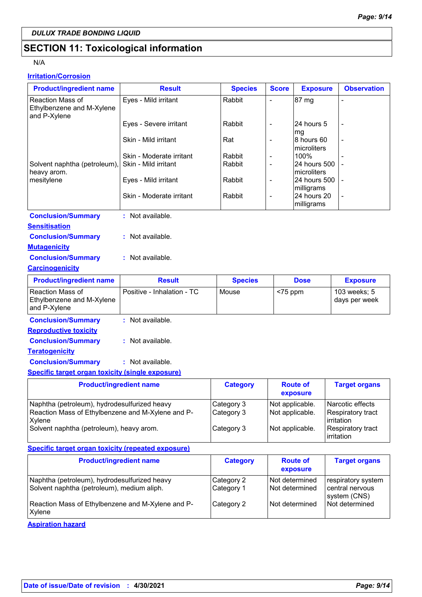# **SECTION 11: Toxicological information**

#### N/A

### **Irritation/Corrosion**

| <b>Product/ingredient name</b>                                       | <b>Result</b>              | <b>Species</b>  | <b>Score</b>             | <b>Exposure</b>                         | <b>Observation</b>              |
|----------------------------------------------------------------------|----------------------------|-----------------|--------------------------|-----------------------------------------|---------------------------------|
| <b>Reaction Mass of</b><br>Ethylbenzene and M-Xylene<br>and P-Xylene | Eyes - Mild irritant       | Rabbit          | $\overline{\phantom{a}}$ | 87 mg                                   |                                 |
|                                                                      | Eyes - Severe irritant     | Rabbit          | $\blacksquare$           | 24 hours 5<br>mg                        |                                 |
|                                                                      | Skin - Mild irritant       | Rat             | $\overline{\phantom{a}}$ | 8 hours 60<br>microliters               |                                 |
|                                                                      | Skin - Moderate irritant   | Rabbit          | $\blacksquare$           | 100%                                    |                                 |
| Solvent naphtha (petroleum),<br>heavy arom.                          | Skin - Mild irritant       | Rabbit          | $\overline{\phantom{a}}$ | 24 hours 500<br>microliters             |                                 |
| mesitylene                                                           | Eyes - Mild irritant       | Rabbit          | $\overline{\phantom{a}}$ | 24 hours 500                            |                                 |
|                                                                      | Skin - Moderate irritant   | Rabbit          | $\blacksquare$           | milligrams<br>24 hours 20<br>milligrams |                                 |
| <b>Conclusion/Summary</b>                                            | : Not available.           |                 |                          |                                         |                                 |
| <b>Sensitisation</b>                                                 |                            |                 |                          |                                         |                                 |
| <b>Conclusion/Summary</b>                                            | : Not available.           |                 |                          |                                         |                                 |
| <b>Mutagenicity</b>                                                  |                            |                 |                          |                                         |                                 |
| <b>Conclusion/Summary</b>                                            | : Not available.           |                 |                          |                                         |                                 |
| <b>Carcinogenicity</b>                                               |                            |                 |                          |                                         |                                 |
| <b>Product/ingredient name</b>                                       | <b>Result</b>              | <b>Species</b>  |                          | <b>Dose</b>                             | <b>Exposure</b>                 |
| <b>Reaction Mass of</b><br>Ethylbenzene and M-Xylene<br>and P-Xylene | Positive - Inhalation - TC | Mouse           | $<$ 75 ppm               |                                         | 103 weeks; 5<br>days per week   |
| <b>Conclusion/Summary</b>                                            | : Not available.           |                 |                          |                                         |                                 |
| <b>Reproductive toxicity</b>                                         |                            |                 |                          |                                         |                                 |
| <b>Conclusion/Summary</b>                                            | : Not available.           |                 |                          |                                         |                                 |
| <b>Teratogenicity</b>                                                |                            |                 |                          |                                         |                                 |
| <b>Conclusion/Summary</b>                                            | : Not available.           |                 |                          |                                         |                                 |
| <b>Specific target organ toxicity (single exposure)</b>              |                            |                 |                          |                                         |                                 |
| <b>Product/ingredient name</b>                                       |                            | <b>Category</b> |                          | <b>Route of</b><br>exposure             | <b>Target organs</b>            |
| Naphtha (petroleum), hydrodesulfurized heavy                         |                            | Category 3      | Not applicable.          |                                         | Narcotic effects                |
| Reaction Mass of Ethylbenzene and M-Xylene and P-<br>Xylene          |                            | Category 3      | Not applicable.          |                                         | Respiratory tract<br>irritation |
| Solvent naphtha (petroleum), heavy arom.                             |                            | Category 3      | Not applicable.          |                                         | Respiratory tract<br>irritation |
| <b>Specific target organ toxicity (repeated exposure)</b>            |                            |                 |                          |                                         |                                 |
| <b>Product/ingredient name</b>                                       |                            | <b>Category</b> |                          | <b>Route of</b><br>exposure             | <b>Target organs</b>            |

|                                                                                            |                          | exposure                         |                                         |
|--------------------------------------------------------------------------------------------|--------------------------|----------------------------------|-----------------------------------------|
| Naphtha (petroleum), hydrodesulfurized heavy<br>Solvent naphtha (petroleum), medium aliph. | Category 2<br>Category 1 | Not determined<br>Not determined | respiratory system<br>l central nervous |
| Reaction Mass of Ethylbenzene and M-Xylene and P-<br>Xylene                                | Category 2               | Not determined                   | system (CNS)<br>l Not determined        |
|                                                                                            |                          |                                  |                                         |

**Aspiration hazard**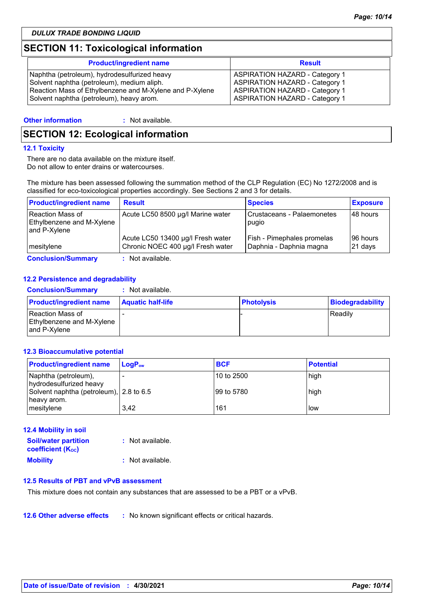### **SECTION 11: Toxicological information**

| <b>Product/ingredient name</b>                          | <b>Result</b>                         |
|---------------------------------------------------------|---------------------------------------|
| Naphtha (petroleum), hydrodesulfurized heavy            | <b>ASPIRATION HAZARD - Category 1</b> |
| Solvent naphtha (petroleum), medium aliph.              | <b>ASPIRATION HAZARD - Category 1</b> |
| Reaction Mass of Ethylbenzene and M-Xylene and P-Xylene | <b>ASPIRATION HAZARD - Category 1</b> |
| Solvent naphtha (petroleum), heavy arom.                | <b>ASPIRATION HAZARD - Category 1</b> |

#### **Other information :**

: Not available.

### **SECTION 12: Ecological information**

#### **12.1 Toxicity**

There are no data available on the mixture itself. Do not allow to enter drains or watercourses.

The mixture has been assessed following the summation method of the CLP Regulation (EC) No 1272/2008 and is classified for eco-toxicological properties accordingly. See Sections 2 and 3 for details.

| <b>Product/ingredient name</b>                                | <b>Result</b>                                                          | <b>Species</b>                                        | <b>Exposure</b>     |
|---------------------------------------------------------------|------------------------------------------------------------------------|-------------------------------------------------------|---------------------|
| Reaction Mass of<br>Ethylbenzene and M-Xylene<br>and P-Xylene | Acute LC50 8500 µg/l Marine water                                      | Crustaceans - Palaemonetes<br>pugio                   | 48 hours            |
| I mesitvlene                                                  | Acute LC50 13400 µg/l Fresh water<br>Chronic NOEC 400 µg/l Fresh water | Fish - Pimephales promelas<br>Daphnia - Daphnia magna | 96 hours<br>21 days |
| <b>Conclusion/Summary</b>                                     | : Not available.                                                       |                                                       |                     |

#### **12.2 Persistence and degradability**

| <b>Conclusion/Summary</b>                                            | : Not available.         |                   |                  |
|----------------------------------------------------------------------|--------------------------|-------------------|------------------|
| <b>Product/ingredient name</b>                                       | <b>Aquatic half-life</b> | <b>Photolysis</b> | Biodegradability |
| <b>Reaction Mass of</b><br>Ethylbenzene and M-Xylene<br>and P-Xvlene |                          |                   | Readily          |

#### **12.3 Bioaccumulative potential**

| <b>Product/ingredient name</b>                         | $\mathsf{LogP}_\mathsf{ow}$ | <b>BCF</b> | <b>Potential</b> |
|--------------------------------------------------------|-----------------------------|------------|------------------|
| Naphtha (petroleum),<br>hydrodesulfurized heavy        |                             | 10 to 2500 | high             |
| Solvent naphtha (petroleum), 2.8 to 6.5<br>heavy arom. |                             | 99 to 5780 | high             |
| mesitylene                                             | 3,42                        | 161        | llow             |

| <b>12.4 Mobility in soil</b> |                  |
|------------------------------|------------------|
| <b>Soil/water partition</b>  | : Not available. |
| <b>coefficient (Koc)</b>     |                  |
| <b>Mobility</b>              | : Not available. |

#### **12.5 Results of PBT and vPvB assessment**

This mixture does not contain any substances that are assessed to be a PBT or a vPvB.

**12.6 Other adverse effects** : No known significant effects or critical hazards.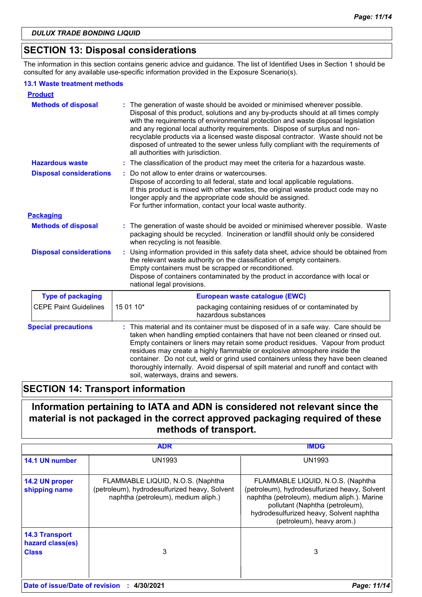### **SECTION 13: Disposal considerations**

The information in this section contains generic advice and guidance. The list of Identified Uses in Section 1 should be consulted for any available use-specific information provided in the Exposure Scenario(s).

#### **13.1 Waste treatment methods**

| <b>Product</b>                 |                                                                                                                                                                                                                                                                                                                                                                                                                                                                                                                                                               |  |  |
|--------------------------------|---------------------------------------------------------------------------------------------------------------------------------------------------------------------------------------------------------------------------------------------------------------------------------------------------------------------------------------------------------------------------------------------------------------------------------------------------------------------------------------------------------------------------------------------------------------|--|--|
| <b>Methods of disposal</b>     | The generation of waste should be avoided or minimised wherever possible.<br>Disposal of this product, solutions and any by-products should at all times comply<br>with the requirements of environmental protection and waste disposal legislation<br>and any regional local authority requirements. Dispose of surplus and non-<br>recyclable products via a licensed waste disposal contractor. Waste should not be<br>disposed of untreated to the sewer unless fully compliant with the requirements of<br>all authorities with jurisdiction.            |  |  |
| <b>Hazardous waste</b>         | : The classification of the product may meet the criteria for a hazardous waste.                                                                                                                                                                                                                                                                                                                                                                                                                                                                              |  |  |
| <b>Disposal considerations</b> | Do not allow to enter drains or watercourses.<br>Dispose of according to all federal, state and local applicable regulations.<br>If this product is mixed with other wastes, the original waste product code may no<br>longer apply and the appropriate code should be assigned.<br>For further information, contact your local waste authority.                                                                                                                                                                                                              |  |  |
| <b>Packaging</b>               |                                                                                                                                                                                                                                                                                                                                                                                                                                                                                                                                                               |  |  |
| <b>Methods of disposal</b>     | : The generation of waste should be avoided or minimised wherever possible. Waste<br>packaging should be recycled. Incineration or landfill should only be considered<br>when recycling is not feasible.                                                                                                                                                                                                                                                                                                                                                      |  |  |
| <b>Disposal considerations</b> | Using information provided in this safety data sheet, advice should be obtained from<br>the relevant waste authority on the classification of empty containers.<br>Empty containers must be scrapped or reconditioned.<br>Dispose of containers contaminated by the product in accordance with local or<br>national legal provisions.                                                                                                                                                                                                                         |  |  |
| <b>Type of packaging</b>       | European waste catalogue (EWC)                                                                                                                                                                                                                                                                                                                                                                                                                                                                                                                                |  |  |
| <b>CEPE Paint Guidelines</b>   | 15 01 10*<br>packaging containing residues of or contaminated by<br>hazardous substances                                                                                                                                                                                                                                                                                                                                                                                                                                                                      |  |  |
| <b>Special precautions</b>     | : This material and its container must be disposed of in a safe way. Care should be<br>taken when handling emptied containers that have not been cleaned or rinsed out.<br>Empty containers or liners may retain some product residues. Vapour from product<br>residues may create a highly flammable or explosive atmosphere inside the<br>container. Do not cut, weld or grind used containers unless they have been cleaned<br>thoroughly internally. Avoid dispersal of spilt material and runoff and contact with<br>soil, waterways, drains and sewers. |  |  |

### **SECTION 14: Transport information**

### **Information pertaining to IATA and ADN is considered not relevant since the material is not packaged in the correct approved packaging required of these methods of transport.**

|                                                           | ADR                                                                                                                       | IMDG                                                                                                                                                                                                                                          |
|-----------------------------------------------------------|---------------------------------------------------------------------------------------------------------------------------|-----------------------------------------------------------------------------------------------------------------------------------------------------------------------------------------------------------------------------------------------|
| 14.1 UN number                                            | UN1993                                                                                                                    | UN1993                                                                                                                                                                                                                                        |
| 14.2 UN proper<br>shipping name                           | FLAMMABLE LIQUID, N.O.S. (Naphtha<br>(petroleum), hydrodesulfurized heavy, Solvent<br>naphtha (petroleum), medium aliph.) | FLAMMABLE LIQUID, N.O.S. (Naphtha<br>(petroleum), hydrodesulfurized heavy, Solvent<br>naphtha (petroleum), medium aliph.). Marine<br>pollutant (Naphtha (petroleum),<br>hydrodesulfurized heavy, Solvent naphtha<br>(petroleum), heavy arom.) |
| <b>14.3 Transport</b><br>hazard class(es)<br><b>Class</b> | 3                                                                                                                         | 3                                                                                                                                                                                                                                             |
| Date of issue/Date of revision : 4/30/2021                |                                                                                                                           | Page: 11/14                                                                                                                                                                                                                                   |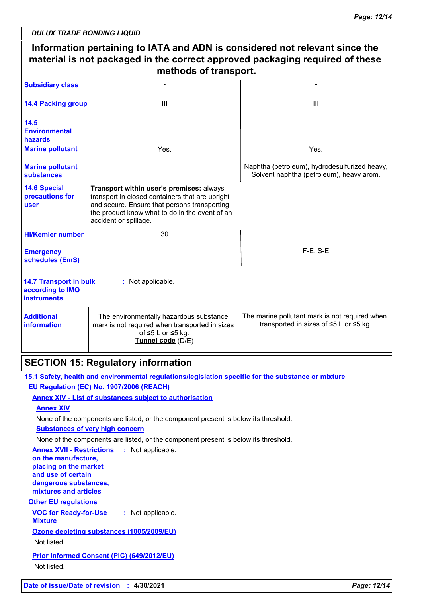|                                                                                                        | Information pertaining to IATA and ADN is considered not relevant since the<br>material is not packaged in the correct approved packaging required of these<br>methods of transport.                                   |                                                                                           |
|--------------------------------------------------------------------------------------------------------|------------------------------------------------------------------------------------------------------------------------------------------------------------------------------------------------------------------------|-------------------------------------------------------------------------------------------|
| <b>Subsidiary class</b>                                                                                |                                                                                                                                                                                                                        |                                                                                           |
| <b>14.4 Packing group</b>                                                                              | Ш                                                                                                                                                                                                                      | Ш                                                                                         |
| 14.5<br><b>Environmental</b><br>hazards                                                                |                                                                                                                                                                                                                        |                                                                                           |
| <b>Marine pollutant</b>                                                                                | Yes.                                                                                                                                                                                                                   | Yes.                                                                                      |
| <b>Marine pollutant</b><br><b>substances</b>                                                           |                                                                                                                                                                                                                        | Naphtha (petroleum), hydrodesulfurized heavy,<br>Solvent naphtha (petroleum), heavy arom. |
| <b>14.6 Special</b><br>precautions for<br>user                                                         | Transport within user's premises: always<br>transport in closed containers that are upright<br>and secure. Ensure that persons transporting<br>the product know what to do in the event of an<br>accident or spillage. |                                                                                           |
| <b>HI/Kemler number</b>                                                                                | 30                                                                                                                                                                                                                     |                                                                                           |
| <b>Emergency</b><br>schedules (EmS)                                                                    |                                                                                                                                                                                                                        | $F-E$ , S-E                                                                               |
| <b>14.7 Transport in bulk</b><br>according to IMO<br><b>instruments</b>                                | : Not applicable.                                                                                                                                                                                                      |                                                                                           |
| <b>Additional</b><br>information                                                                       | The environmentally hazardous substance<br>mark is not required when transported in sizes<br>of ≤5 L or ≤5 kg.<br>Tunnel code (D/E)                                                                                    | The marine pollutant mark is not required when<br>transported in sizes of ≤5 L or ≤5 kg.  |
|                                                                                                        | <b>SECTION 15: Regulatory information</b>                                                                                                                                                                              |                                                                                           |
|                                                                                                        | 15.1 Safety, health and environmental regulations/legislation specific for the substance or mixture                                                                                                                    |                                                                                           |
|                                                                                                        | EU Regulation (EC) No. 1907/2006 (REACH)                                                                                                                                                                               |                                                                                           |
| <b>Annex XIV</b>                                                                                       | <b>Annex XIV - List of substances subject to authorisation</b>                                                                                                                                                         |                                                                                           |
|                                                                                                        | None of the components are listed, or the component present is below its threshold.                                                                                                                                    |                                                                                           |
|                                                                                                        | <b>Substances of very high concern</b>                                                                                                                                                                                 |                                                                                           |
|                                                                                                        | None of the components are listed, or the component present is below its threshold.                                                                                                                                    |                                                                                           |
| <b>Annex XVII - Restrictions</b><br>on the manufacture,<br>placing on the market<br>and use of certain | : Not applicable.                                                                                                                                                                                                      |                                                                                           |
| dangerous substances,<br>mixtures and articles                                                         |                                                                                                                                                                                                                        |                                                                                           |
| <b>Other EU regulations</b>                                                                            |                                                                                                                                                                                                                        |                                                                                           |
| <b>VOC for Ready-for-Use</b><br><b>Mixture</b>                                                         | : Not applicable.                                                                                                                                                                                                      |                                                                                           |
|                                                                                                        | Ozone depleting substances (1005/2009/EU)                                                                                                                                                                              |                                                                                           |

Not listed.

**Prior Informed Consent (PIC) (649/2012/EU)** Not listed.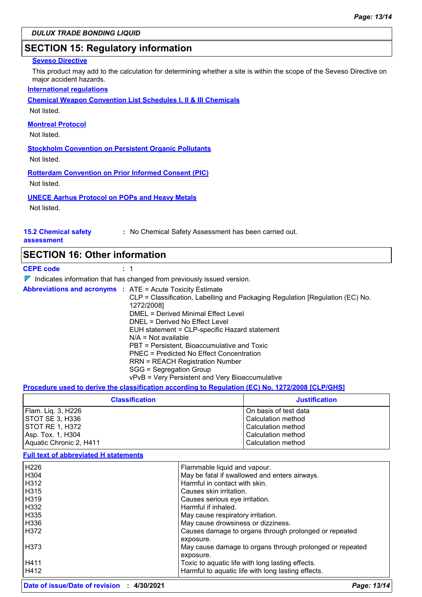### **SECTION 15: Regulatory information**

#### **Seveso Directive**

This product may add to the calculation for determining whether a site is within the scope of the Seveso Directive on major accident hazards.

#### **International regulations**

**Chemical Weapon Convention List Schedules I, II & III Chemicals**

Not listed.

#### **Montreal Protocol**

Not listed.

**Stockholm Convention on Persistent Organic Pollutants**

Not listed.

#### **Rotterdam Convention on Prior Informed Consent (PIC)**

Not listed.

#### **UNECE Aarhus Protocol on POPs and Heavy Metals**

Not listed.

### **15.2 Chemical safety**

**:** No Chemical Safety Assessment has been carried out.

#### **assessment**

#### **SECTION 16: Other information**

**CEPE code :** 1

### $\nabla$  Indicates information that has changed from previously issued version.

| <b>Abbreviations and acronyms : ATE = Acute Toxicity Estimate</b><br>CLP = Classification, Labelling and Packaging Regulation [Regulation (EC) No.<br>1272/2008]<br>DMEL = Derived Minimal Effect Level<br>DNEL = Derived No Effect Level<br>EUH statement = CLP-specific Hazard statement<br>$N/A = Not available$<br>PBT = Persistent, Bioaccumulative and Toxic<br><b>PNEC</b> = Predicted No Effect Concentration<br><b>RRN = REACH Registration Number</b><br>SGG = Segregation Group<br>vPvB = Very Persistent and Very Bioaccumulative |
|-----------------------------------------------------------------------------------------------------------------------------------------------------------------------------------------------------------------------------------------------------------------------------------------------------------------------------------------------------------------------------------------------------------------------------------------------------------------------------------------------------------------------------------------------|
|                                                                                                                                                                                                                                                                                                                                                                                                                                                                                                                                               |

#### **Procedure used to derive the classification according to Regulation (EC) No. 1272/2008 [CLP/GHS]**

| <b>Classification</b>   | <b>Justification</b>  |
|-------------------------|-----------------------|
| Flam. Lig. 3, H226      | On basis of test data |
| <b>ISTOT SE 3. H336</b> | Calculation method    |
| <b>STOT RE 1, H372</b>  | Calculation method    |
| Asp. Tox. 1, H304       | Calculation method    |
| Aquatic Chronic 2, H411 | Calculation method    |

#### **Full text of abbreviated H statements**

| H <sub>226</sub> | Flammable liquid and vapour.                             |
|------------------|----------------------------------------------------------|
| H <sub>304</sub> | May be fatal if swallowed and enters airways.            |
| H312             | Harmful in contact with skin.                            |
| H315             | Causes skin irritation.                                  |
| H <sub>319</sub> | Causes serious eye irritation.                           |
| H332             | Harmful if inhaled.                                      |
| H335             | May cause respiratory irritation.                        |
| H336             | May cause drowsiness or dizziness.                       |
| H372             | Causes damage to organs through prolonged or repeated    |
|                  | exposure.                                                |
| H373             | May cause damage to organs through prolonged or repeated |
|                  | exposure.                                                |
| H411             | Toxic to aquatic life with long lasting effects.         |
| H412             | Harmful to aquatic life with long lasting effects.       |